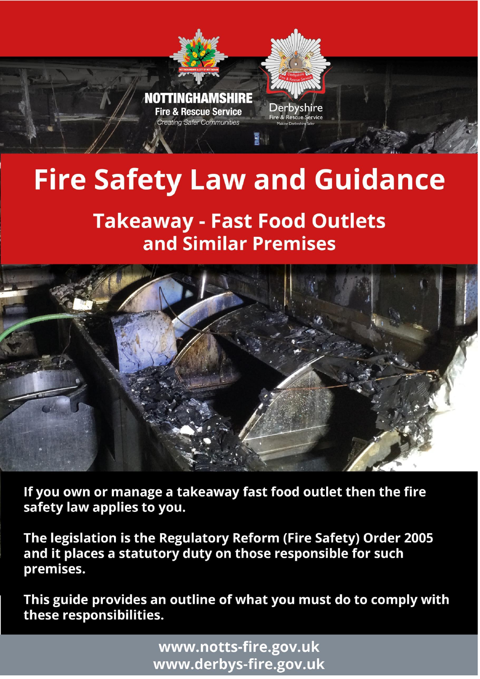

# **Fire Safety Law and Guidance**

# **Takeaway - Fast Food Outlets** and Similar Premises



If you own or manage a takeaway fast food outlet then the fire safety law applies to you.

The legislation is the Regulatory Reform (Fire Safety) Order 2005 and it places a statutory duty on those responsible for such premises.

This guide provides an outline of what you must do to comply with these responsibilities.

w w w . d e r b y s - f i r e . g o v . u k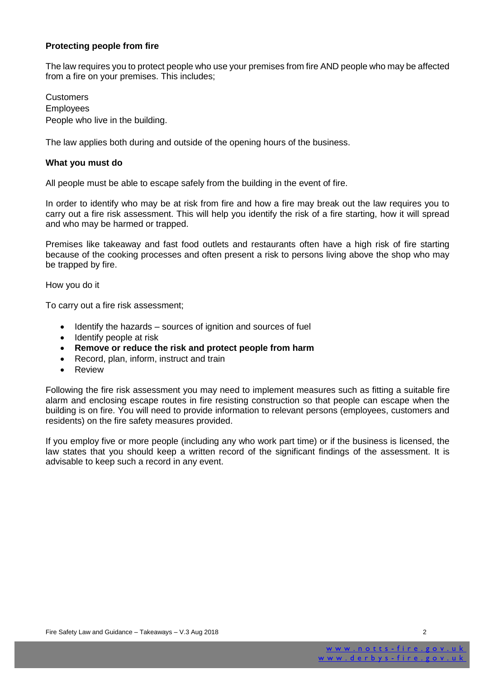#### **Protecting people from fire**

The law requires you to protect people who use your premises from fire AND people who may be affected from a fire on your premises. This includes;

**Customers** Employees People who live in the building.

The law applies both during and outside of the opening hours of the business.

#### **What you must do**

All people must be able to escape safely from the building in the event of fire.

In order to identify who may be at risk from fire and how a fire may break out the law requires you to carry out a fire risk assessment. This will help you identify the risk of a fire starting, how it will spread and who may be harmed or trapped.

Premises like takeaway and fast food outlets and restaurants often have a high risk of fire starting because of the cooking processes and often present a risk to persons living above the shop who may be trapped by fire.

How you do it

To carry out a fire risk assessment;

- Identify the hazards sources of ignition and sources of fuel
- Identify people at risk
- **Remove or reduce the risk and protect people from harm**
- Record, plan, inform, instruct and train
- Review

Following the fire risk assessment you may need to implement measures such as fitting a suitable fire alarm and enclosing escape routes in fire resisting construction so that people can escape when the building is on fire. You will need to provide information to relevant persons (employees, customers and residents) on the fire safety measures provided.

If you employ five or more people (including any who work part time) or if the business is licensed, the law states that you should keep a written record of the significant findings of the assessment. It is advisable to keep such a record in any event.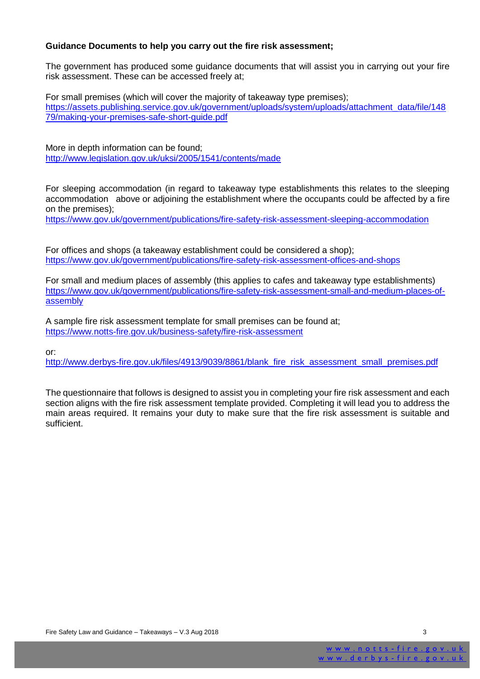#### **Guidance Documents to help you carry out the fire risk assessment;**

The government has produced some guidance documents that will assist you in carrying out your fire risk assessment. These can be accessed freely at;

For small premises (which will cover the majority of takeaway type premises); [https://assets.publishing.service.gov.uk/government/uploads/system/uploads/attachment\\_data/file/148](https://assets.publishing.service.gov.uk/government/uploads/system/uploads/attachment_data/file/14879/making-your-premises-safe-short-guide.pdf) [79/making-your-premises-safe-short-guide.pdf](https://assets.publishing.service.gov.uk/government/uploads/system/uploads/attachment_data/file/14879/making-your-premises-safe-short-guide.pdf)

More in depth information can be found; <http://www.legislation.gov.uk/uksi/2005/1541/contents/made>

For sleeping accommodation (in regard to takeaway type establishments this relates to the sleeping accommodation above or adjoining the establishment where the occupants could be affected by a fire on the premises);

<https://www.gov.uk/government/publications/fire-safety-risk-assessment-sleeping-accommodation>

For offices and shops (a takeaway establishment could be considered a shop); <https://www.gov.uk/government/publications/fire-safety-risk-assessment-offices-and-shops>

For small and medium places of assembly (this applies to cafes and takeaway type establishments) [https://www.gov.uk/government/publications/fire-safety-risk-assessment-small-and-medium-places-of](https://www.gov.uk/government/publications/fire-safety-risk-assessment-small-and-medium-places-of-assembly)[assembly](https://www.gov.uk/government/publications/fire-safety-risk-assessment-small-and-medium-places-of-assembly)

A sample fire risk assessment template for small premises can be found at; <https://www.notts-fire.gov.uk/business-safety/fire-risk-assessment>

or:

[http://www.derbys-fire.gov.uk/files/4913/9039/8861/blank\\_fire\\_risk\\_assessment\\_small\\_premises.pdf](http://www.derbys-fire.gov.uk/files/4913/9039/8861/blank_fire_risk_assessment_small_premises.pdf)

The questionnaire that follows is designed to assist you in completing your fire risk assessment and each section aligns with the fire risk assessment template provided. Completing it will lead you to address the main areas required. It remains your duty to make sure that the fire risk assessment is suitable and sufficient.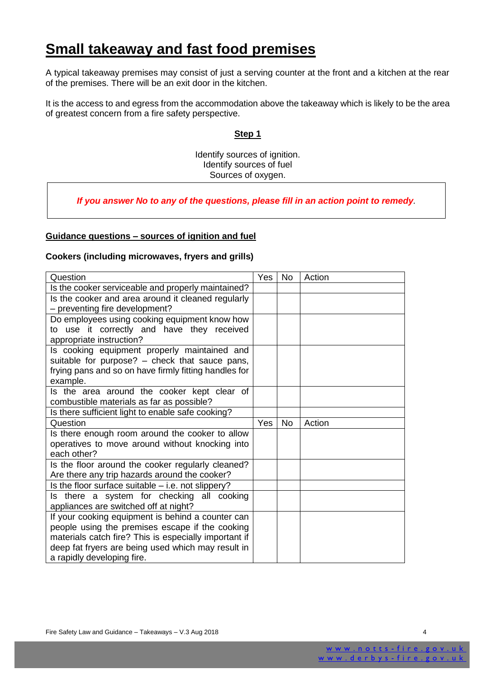### **Small takeaway and fast food premises**

A typical takeaway premises may consist of just a serving counter at the front and a kitchen at the rear of the premises. There will be an exit door in the kitchen.

It is the access to and egress from the accommodation above the takeaway which is likely to be the area of greatest concern from a fire safety perspective.

#### **Step 1**

Identify sources of ignition. Identify sources of fuel Sources of oxygen.

*If you answer No to any of the questions, please fill in an action point to remedy.*

#### **Guidance questions – sources of ignition and fuel**

#### **Cookers (including microwaves, fryers and grills)**

| Question                                                                                              | Yes | No        | Action |
|-------------------------------------------------------------------------------------------------------|-----|-----------|--------|
| Is the cooker serviceable and properly maintained?                                                    |     |           |        |
| Is the cooker and area around it cleaned regularly                                                    |     |           |        |
| - preventing fire development?                                                                        |     |           |        |
| Do employees using cooking equipment know how                                                         |     |           |        |
| to use it correctly and have they received                                                            |     |           |        |
| appropriate instruction?                                                                              |     |           |        |
| Is cooking equipment properly maintained and                                                          |     |           |        |
| suitable for purpose? – check that sauce pans,                                                        |     |           |        |
| frying pans and so on have firmly fitting handles for                                                 |     |           |        |
| example.                                                                                              |     |           |        |
| Is the area around the cooker kept clear of                                                           |     |           |        |
| combustible materials as far as possible?                                                             |     |           |        |
| Is there sufficient light to enable safe cooking?                                                     |     |           |        |
| Question                                                                                              |     |           |        |
|                                                                                                       | Yes | <b>No</b> | Action |
| Is there enough room around the cooker to allow                                                       |     |           |        |
| operatives to move around without knocking into                                                       |     |           |        |
| each other?                                                                                           |     |           |        |
| Is the floor around the cooker regularly cleaned?                                                     |     |           |        |
|                                                                                                       |     |           |        |
| Are there any trip hazards around the cooker?<br>Is the floor surface suitable $-$ i.e. not slippery? |     |           |        |
| Is there a system for checking all cooking                                                            |     |           |        |
| appliances are switched off at night?                                                                 |     |           |        |
| If your cooking equipment is behind a counter can                                                     |     |           |        |
| people using the premises escape if the cooking                                                       |     |           |        |
| materials catch fire? This is especially important if                                                 |     |           |        |
| deep fat fryers are being used which may result in                                                    |     |           |        |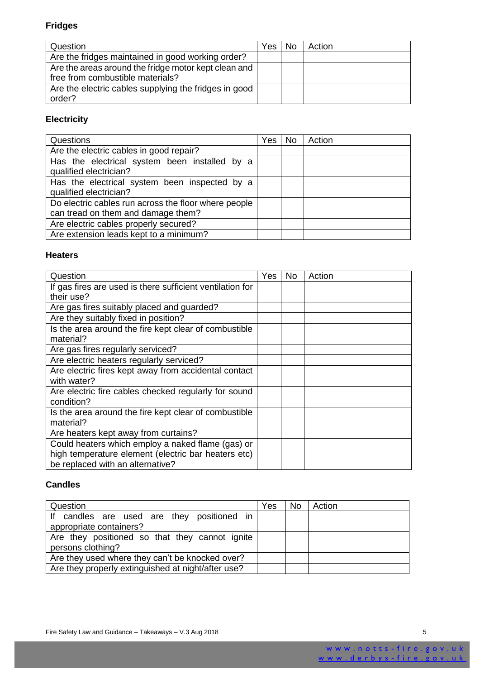#### **Fridges**

| Question                                                                                 | Yes | No | Action |
|------------------------------------------------------------------------------------------|-----|----|--------|
| Are the fridges maintained in good working order?                                        |     |    |        |
| Are the areas around the fridge motor kept clean and<br>free from combustible materials? |     |    |        |
| Are the electric cables supplying the fridges in good<br>order?                          |     |    |        |

#### **Electricity**

| Questions                                            | Yes: | No. | Action |
|------------------------------------------------------|------|-----|--------|
| Are the electric cables in good repair?              |      |     |        |
| Has the electrical system been installed by a        |      |     |        |
| qualified electrician?                               |      |     |        |
| Has the electrical system been inspected by a        |      |     |        |
| qualified electrician?                               |      |     |        |
| Do electric cables run across the floor where people |      |     |        |
| can tread on them and damage them?                   |      |     |        |
| Are electric cables properly secured?                |      |     |        |
| Are extension leads kept to a minimum?               |      |     |        |

#### **Heaters**

| Question                                                                                                                                     | Yes | No. | Action |
|----------------------------------------------------------------------------------------------------------------------------------------------|-----|-----|--------|
| If gas fires are used is there sufficient ventilation for<br>their use?                                                                      |     |     |        |
| Are gas fires suitably placed and guarded?                                                                                                   |     |     |        |
| Are they suitably fixed in position?                                                                                                         |     |     |        |
| Is the area around the fire kept clear of combustible<br>material?                                                                           |     |     |        |
| Are gas fires regularly serviced?                                                                                                            |     |     |        |
| Are electric heaters regularly serviced?                                                                                                     |     |     |        |
| Are electric fires kept away from accidental contact<br>with water?                                                                          |     |     |        |
| Are electric fire cables checked regularly for sound<br>condition?                                                                           |     |     |        |
| Is the area around the fire kept clear of combustible<br>material?                                                                           |     |     |        |
| Are heaters kept away from curtains?                                                                                                         |     |     |        |
| Could heaters which employ a naked flame (gas) or<br>high temperature element (electric bar heaters etc)<br>be replaced with an alternative? |     |     |        |

#### **Candles**

| Question                                                              | Yes | No. | Action |
|-----------------------------------------------------------------------|-----|-----|--------|
| If candles are used are they positioned in<br>appropriate containers? |     |     |        |
| Are they positioned so that they cannot ignite<br>persons clothing?   |     |     |        |
| Are they used where they can't be knocked over?                       |     |     |        |
| Are they properly extinguished at night/after use?                    |     |     |        |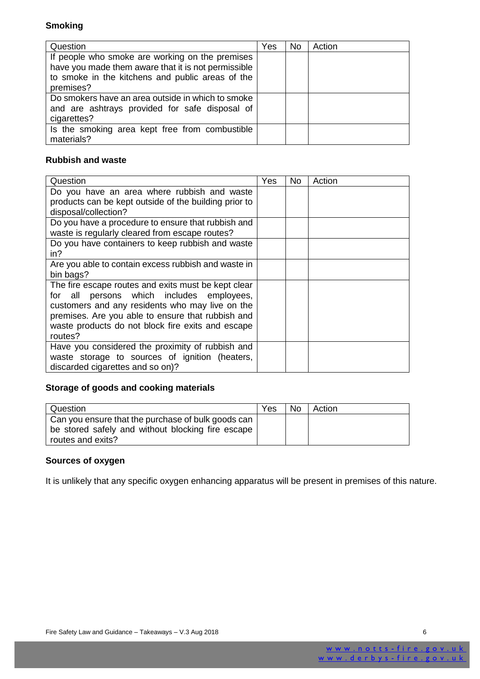#### **Smoking**

| Question                                                                                                                                                                | Yes | No | Action |
|-------------------------------------------------------------------------------------------------------------------------------------------------------------------------|-----|----|--------|
| If people who smoke are working on the premises<br>have you made them aware that it is not permissible<br>to smoke in the kitchens and public areas of the<br>premises? |     |    |        |
| Do smokers have an area outside in which to smoke<br>and are ashtrays provided for safe disposal of<br>cigarettes?                                                      |     |    |        |
| Is the smoking area kept free from combustible<br>materials?                                                                                                            |     |    |        |

#### **Rubbish and waste**

| Question                                                                                                                                                                                                                                                                       | Yes | No. | Action |
|--------------------------------------------------------------------------------------------------------------------------------------------------------------------------------------------------------------------------------------------------------------------------------|-----|-----|--------|
| Do you have an area where rubbish and waste<br>products can be kept outside of the building prior to<br>disposal/collection?                                                                                                                                                   |     |     |        |
| Do you have a procedure to ensure that rubbish and<br>waste is regularly cleared from escape routes?                                                                                                                                                                           |     |     |        |
| Do you have containers to keep rubbish and waste<br>in?                                                                                                                                                                                                                        |     |     |        |
| Are you able to contain excess rubbish and waste in<br>bin bags?                                                                                                                                                                                                               |     |     |        |
| The fire escape routes and exits must be kept clear<br>persons which includes employees,<br>all<br>for<br>customers and any residents who may live on the<br>premises. Are you able to ensure that rubbish and<br>waste products do not block fire exits and escape<br>routes? |     |     |        |
| Have you considered the proximity of rubbish and<br>waste storage to sources of ignition (heaters,<br>discarded cigarettes and so on)?                                                                                                                                         |     |     |        |

#### **Storage of goods and cooking materials**

| Question                                                                                                | Yes | No. | Action |
|---------------------------------------------------------------------------------------------------------|-----|-----|--------|
| Can you ensure that the purchase of bulk goods can<br>be stored safely and without blocking fire escape |     |     |        |
| routes and exits?                                                                                       |     |     |        |

#### **Sources of oxygen**

It is unlikely that any specific oxygen enhancing apparatus will be present in premises of this nature.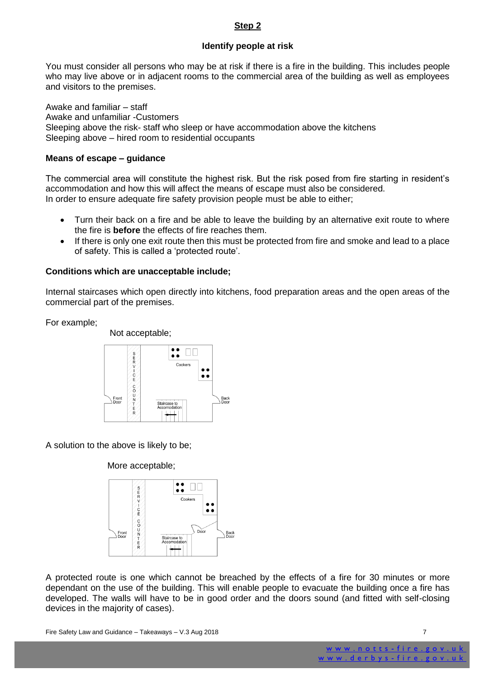#### **Step 2**

#### **Identify people at risk**

You must consider all persons who may be at risk if there is a fire in the building. This includes people who may live above or in adjacent rooms to the commercial area of the building as well as employees and visitors to the premises.

Awake and familiar – staff Awake and unfamiliar -Customers Sleeping above the risk- staff who sleep or have accommodation above the kitchens Sleeping above – hired room to residential occupants

#### **Means of escape – guidance**

The commercial area will constitute the highest risk. But the risk posed from fire starting in resident's accommodation and how this will affect the means of escape must also be considered. In order to ensure adequate fire safety provision people must be able to either;

- Turn their back on a fire and be able to leave the building by an alternative exit route to where the fire is **before** the effects of fire reaches them.
- If there is only one exit route then this must be protected from fire and smoke and lead to a place of safety. This is called a 'protected route'.

#### **Conditions which are unacceptable include;**

Internal staircases which open directly into kitchens, food preparation areas and the open areas of the commercial part of the premises.

For example;



A solution to the above is likely to be;

#### More acceptable;



A protected route is one which cannot be breached by the effects of a fire for 30 minutes or more dependant on the use of the building. This will enable people to evacuate the building once a fire has developed. The walls will have to be in good order and the doors sound (and fitted with self-closing devices in the majority of cases).

Fire Safety Law and Guidance – Takeaways – V.3 Aug 2018 **7** August 2018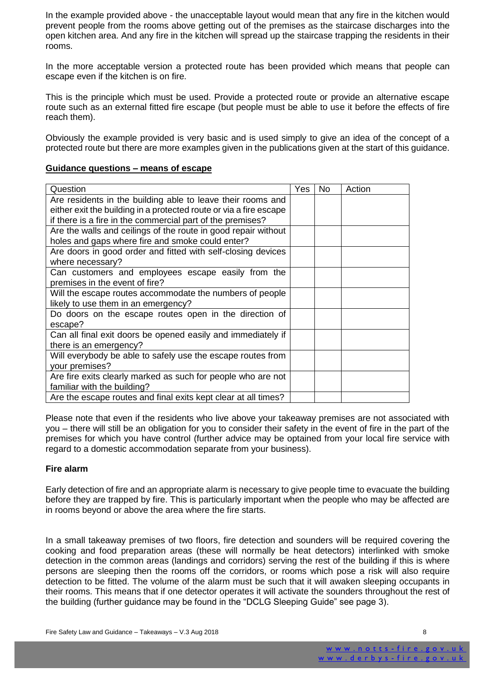In the example provided above - the unacceptable layout would mean that any fire in the kitchen would prevent people from the rooms above getting out of the premises as the staircase discharges into the open kitchen area. And any fire in the kitchen will spread up the staircase trapping the residents in their rooms.

In the more acceptable version a protected route has been provided which means that people can escape even if the kitchen is on fire.

This is the principle which must be used. Provide a protected route or provide an alternative escape route such as an external fitted fire escape (but people must be able to use it before the effects of fire reach them).

Obviously the example provided is very basic and is used simply to give an idea of the concept of a protected route but there are more examples given in the publications given at the start of this guidance.

#### **Guidance questions – means of escape**

| Question                                                           | Yes | <b>No</b> | Action |
|--------------------------------------------------------------------|-----|-----------|--------|
| Are residents in the building able to leave their rooms and        |     |           |        |
| either exit the building in a protected route or via a fire escape |     |           |        |
| if there is a fire in the commercial part of the premises?         |     |           |        |
| Are the walls and ceilings of the route in good repair without     |     |           |        |
| holes and gaps where fire and smoke could enter?                   |     |           |        |
| Are doors in good order and fitted with self-closing devices       |     |           |        |
| where necessary?                                                   |     |           |        |
| Can customers and employees escape easily from the                 |     |           |        |
| premises in the event of fire?                                     |     |           |        |
| Will the escape routes accommodate the numbers of people           |     |           |        |
| likely to use them in an emergency?                                |     |           |        |
| Do doors on the escape routes open in the direction of             |     |           |        |
| escape?                                                            |     |           |        |
| Can all final exit doors be opened easily and immediately if       |     |           |        |
| there is an emergency?                                             |     |           |        |
| Will everybody be able to safely use the escape routes from        |     |           |        |
| your premises?                                                     |     |           |        |
| Are fire exits clearly marked as such for people who are not       |     |           |        |
| familiar with the building?                                        |     |           |        |
| Are the escape routes and final exits kept clear at all times?     |     |           |        |

Please note that even if the residents who live above your takeaway premises are not associated with you – there will still be an obligation for you to consider their safety in the event of fire in the part of the premises for which you have control (further advice may be optained from your local fire service with regard to a domestic accommodation separate from your business).

#### **Fire alarm**

Early detection of fire and an appropriate alarm is necessary to give people time to evacuate the building before they are trapped by fire. This is particularly important when the people who may be affected are in rooms beyond or above the area where the fire starts.

In a small takeaway premises of two floors, fire detection and sounders will be required covering the cooking and food preparation areas (these will normally be heat detectors) interlinked with smoke detection in the common areas (landings and corridors) serving the rest of the building if this is where persons are sleeping then the rooms off the corridors, or rooms which pose a risk will also require detection to be fitted. The volume of the alarm must be such that it will awaken sleeping occupants in their rooms. This means that if one detector operates it will activate the sounders throughout the rest of the building (further guidance may be found in the "DCLG Sleeping Guide" see page 3).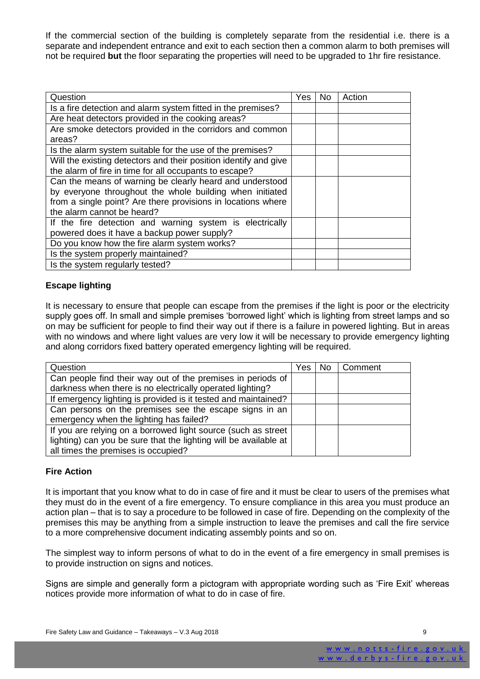If the commercial section of the building is completely separate from the residential i.e. there is a separate and independent entrance and exit to each section then a common alarm to both premises will not be required **but** the floor separating the properties will need to be upgraded to 1hr fire resistance.

| Question                                                           | <b>Yes</b> | No. | Action |
|--------------------------------------------------------------------|------------|-----|--------|
| Is a fire detection and alarm system fitted in the premises?       |            |     |        |
| Are heat detectors provided in the cooking areas?                  |            |     |        |
| Are smoke detectors provided in the corridors and common<br>areas? |            |     |        |
| Is the alarm system suitable for the use of the premises?          |            |     |        |
| Will the existing detectors and their position identify and give   |            |     |        |
| the alarm of fire in time for all occupants to escape?             |            |     |        |
| Can the means of warning be clearly heard and understood           |            |     |        |
| by everyone throughout the whole building when initiated           |            |     |        |
| from a single point? Are there provisions in locations where       |            |     |        |
| the alarm cannot be heard?                                         |            |     |        |
| If the fire detection and warning system is electrically           |            |     |        |
| powered does it have a backup power supply?                        |            |     |        |
| Do you know how the fire alarm system works?                       |            |     |        |
| Is the system properly maintained?                                 |            |     |        |
| Is the system regularly tested?                                    |            |     |        |

#### **Escape lighting**

It is necessary to ensure that people can escape from the premises if the light is poor or the electricity supply goes off. In small and simple premises 'borrowed light' which is lighting from street lamps and so on may be sufficient for people to find their way out if there is a failure in powered lighting. But in areas with no windows and where light values are very low it will be necessary to provide emergency lighting and along corridors fixed battery operated emergency lighting will be required.

| Question                                                         | Yes l | No. | Comment |
|------------------------------------------------------------------|-------|-----|---------|
| Can people find their way out of the premises in periods of      |       |     |         |
| darkness when there is no electrically operated lighting?        |       |     |         |
| If emergency lighting is provided is it tested and maintained?   |       |     |         |
| Can persons on the premises see the escape signs in an           |       |     |         |
| emergency when the lighting has failed?                          |       |     |         |
| If you are relying on a borrowed light source (such as street    |       |     |         |
| lighting) can you be sure that the lighting will be available at |       |     |         |
| all times the premises is occupied?                              |       |     |         |

#### **Fire Action**

It is important that you know what to do in case of fire and it must be clear to users of the premises what they must do in the event of a fire emergency. To ensure compliance in this area you must produce an action plan – that is to say a procedure to be followed in case of fire. Depending on the complexity of the premises this may be anything from a simple instruction to leave the premises and call the fire service to a more comprehensive document indicating assembly points and so on.

The simplest way to inform persons of what to do in the event of a fire emergency in small premises is to provide instruction on signs and notices.

Signs are simple and generally form a pictogram with appropriate wording such as 'Fire Exit' whereas notices provide more information of what to do in case of fire.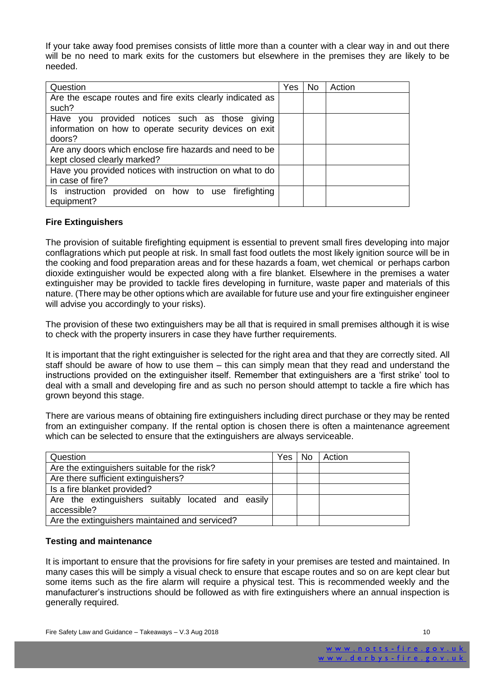If your take away food premises consists of little more than a counter with a clear way in and out there will be no need to mark exits for the customers but elsewhere in the premises they are likely to be needed.

| Question                                                  | Yes | <b>No</b> | Action |
|-----------------------------------------------------------|-----|-----------|--------|
| Are the escape routes and fire exits clearly indicated as |     |           |        |
| such?                                                     |     |           |        |
| Have you provided notices such as those giving            |     |           |        |
| information on how to operate security devices on exit    |     |           |        |
| doors?                                                    |     |           |        |
| Are any doors which enclose fire hazards and need to be   |     |           |        |
| kept closed clearly marked?                               |     |           |        |
| Have you provided notices with instruction on what to do  |     |           |        |
| in case of fire?                                          |     |           |        |
| Is instruction provided on how to use firefighting        |     |           |        |
| equipment?                                                |     |           |        |

#### **Fire Extinguishers**

The provision of suitable firefighting equipment is essential to prevent small fires developing into major conflagrations which put people at risk. In small fast food outlets the most likely ignition source will be in the cooking and food preparation areas and for these hazards a foam, wet chemical or perhaps carbon dioxide extinguisher would be expected along with a fire blanket. Elsewhere in the premises a water extinguisher may be provided to tackle fires developing in furniture, waste paper and materials of this nature. (There may be other options which are available for future use and your fire extinguisher engineer will advise you accordingly to your risks).

The provision of these two extinguishers may be all that is required in small premises although it is wise to check with the property insurers in case they have further requirements.

It is important that the right extinguisher is selected for the right area and that they are correctly sited. All staff should be aware of how to use them – this can simply mean that they read and understand the instructions provided on the extinguisher itself. Remember that extinguishers are a 'first strike' tool to deal with a small and developing fire and as such no person should attempt to tackle a fire which has grown beyond this stage.

There are various means of obtaining fire extinguishers including direct purchase or they may be rented from an extinguisher company. If the rental option is chosen there is often a maintenance agreement which can be selected to ensure that the extinguishers are always serviceable.

| Question                                          | Yes. | <b>No</b> | Action |
|---------------------------------------------------|------|-----------|--------|
| Are the extinguishers suitable for the risk?      |      |           |        |
| Are there sufficient extinguishers?               |      |           |        |
| Is a fire blanket provided?                       |      |           |        |
| Are the extinguishers suitably located and easily |      |           |        |
| accessible?                                       |      |           |        |
| Are the extinguishers maintained and serviced?    |      |           |        |
|                                                   |      |           |        |

#### **Testing and maintenance**

It is important to ensure that the provisions for fire safety in your premises are tested and maintained. In many cases this will be simply a visual check to ensure that escape routes and so on are kept clear but some items such as the fire alarm will require a physical test. This is recommended weekly and the manufacturer's instructions should be followed as with fire extinguishers where an annual inspection is generally required.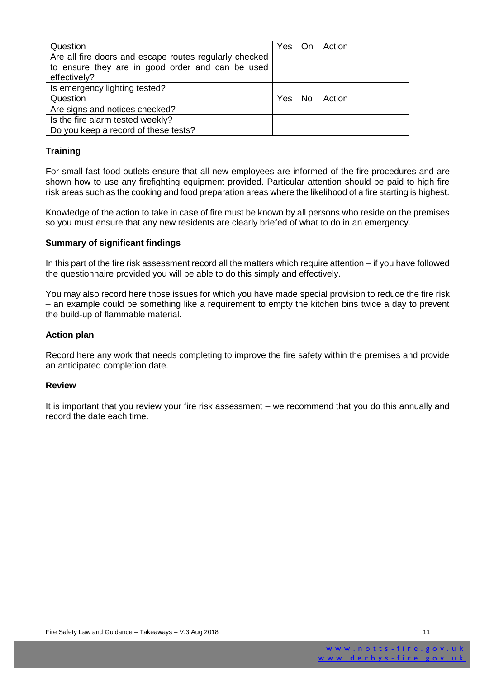| Question                                               | Yes | - On | Action |
|--------------------------------------------------------|-----|------|--------|
| Are all fire doors and escape routes regularly checked |     |      |        |
| to ensure they are in good order and can be used       |     |      |        |
| effectively?                                           |     |      |        |
| Is emergency lighting tested?                          |     |      |        |
| Question                                               | Yes | No   | Action |
| Are signs and notices checked?                         |     |      |        |
| Is the fire alarm tested weekly?                       |     |      |        |
| Do you keep a record of these tests?                   |     |      |        |

#### **Training**

For small fast food outlets ensure that all new employees are informed of the fire procedures and are shown how to use any firefighting equipment provided. Particular attention should be paid to high fire risk areas such as the cooking and food preparation areas where the likelihood of a fire starting is highest.

Knowledge of the action to take in case of fire must be known by all persons who reside on the premises so you must ensure that any new residents are clearly briefed of what to do in an emergency.

#### **Summary of significant findings**

In this part of the fire risk assessment record all the matters which require attention – if you have followed the questionnaire provided you will be able to do this simply and effectively.

You may also record here those issues for which you have made special provision to reduce the fire risk – an example could be something like a requirement to empty the kitchen bins twice a day to prevent the build-up of flammable material.

#### **Action plan**

Record here any work that needs completing to improve the fire safety within the premises and provide an anticipated completion date.

#### **Review**

It is important that you review your fire risk assessment – we recommend that you do this annually and record the date each time.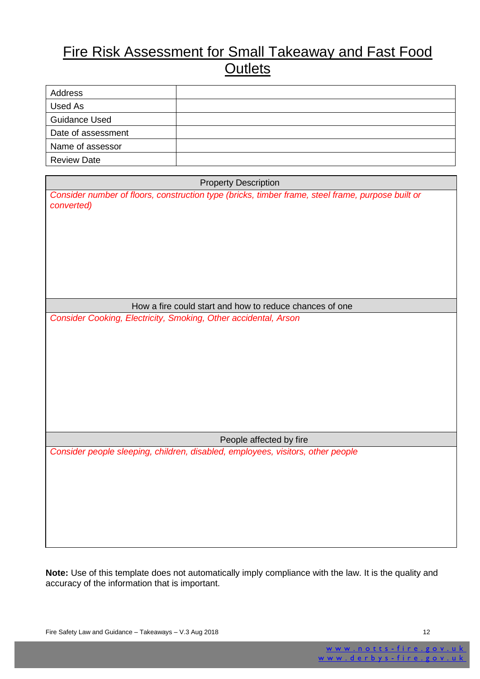## Fire Risk Assessment for Small Takeaway and Fast Food **Outlets**

| Address              |  |
|----------------------|--|
| Used As              |  |
| <b>Guidance Used</b> |  |
| Date of assessment   |  |
| Name of assessor     |  |
| <b>Review Date</b>   |  |

| <b>Property Description</b>                                                                                     |  |  |
|-----------------------------------------------------------------------------------------------------------------|--|--|
| Consider number of floors, construction type (bricks, timber frame, steel frame, purpose built or<br>converted) |  |  |
| How a fire could start and how to reduce chances of one                                                         |  |  |
| Consider Cooking, Electricity, Smoking, Other accidental, Arson                                                 |  |  |
| People affected by fire                                                                                         |  |  |
| Consider people sleeping, children, disabled, employees, visitors, other people                                 |  |  |

**Note:** Use of this template does not automatically imply compliance with the law. It is the quality and accuracy of the information that is important.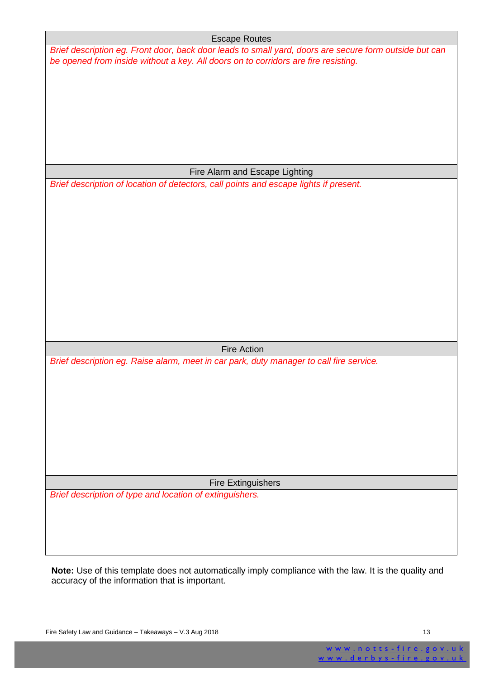| <b>Escape Routes</b>                                                                                   |  |
|--------------------------------------------------------------------------------------------------------|--|
| Brief description eg. Front door, back door leads to small yard, doors are secure form outside but can |  |
| be opened from inside without a key. All doors on to corridors are fire resisting.                     |  |
|                                                                                                        |  |
|                                                                                                        |  |
|                                                                                                        |  |
|                                                                                                        |  |
|                                                                                                        |  |
|                                                                                                        |  |
|                                                                                                        |  |
|                                                                                                        |  |
|                                                                                                        |  |
| Fire Alarm and Escape Lighting                                                                         |  |
| Brief description of location of detectors, call points and escape lights if present.                  |  |
|                                                                                                        |  |
|                                                                                                        |  |
|                                                                                                        |  |
|                                                                                                        |  |
|                                                                                                        |  |
|                                                                                                        |  |
|                                                                                                        |  |
|                                                                                                        |  |
|                                                                                                        |  |
|                                                                                                        |  |
|                                                                                                        |  |
|                                                                                                        |  |
|                                                                                                        |  |
| <b>Fire Action</b>                                                                                     |  |
|                                                                                                        |  |
| Brief description eg. Raise alarm, meet in car park, duty manager to call fire service.                |  |
|                                                                                                        |  |
|                                                                                                        |  |
|                                                                                                        |  |
|                                                                                                        |  |
|                                                                                                        |  |
|                                                                                                        |  |
|                                                                                                        |  |
|                                                                                                        |  |
|                                                                                                        |  |
| <b>Fire Extinguishers</b>                                                                              |  |
| Brief description of type and location of extinguishers.                                               |  |
|                                                                                                        |  |
|                                                                                                        |  |
|                                                                                                        |  |
|                                                                                                        |  |
|                                                                                                        |  |
|                                                                                                        |  |

**Note:** Use of this template does not automatically imply compliance with the law. It is the quality and accuracy of the information that is important.